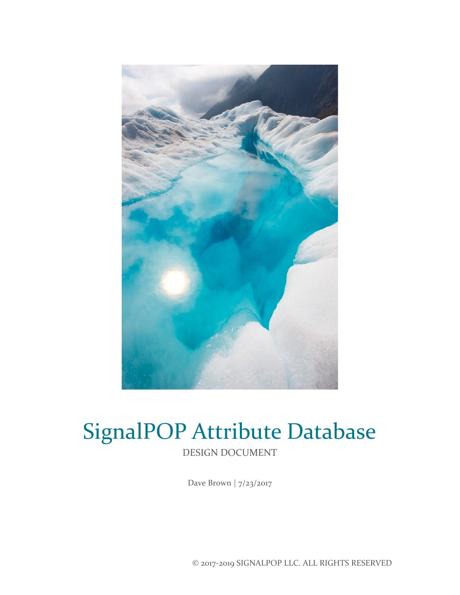

# SignalPOP Attribute Database DESIGN DOCUMENT

Dave Brown | 7/23/2017

© 2017-2019 SIGNALPOP LLC. ALL RIGHTS RESERVED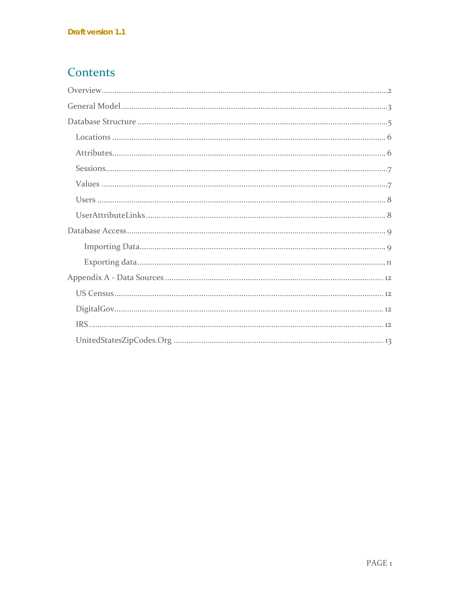### Contents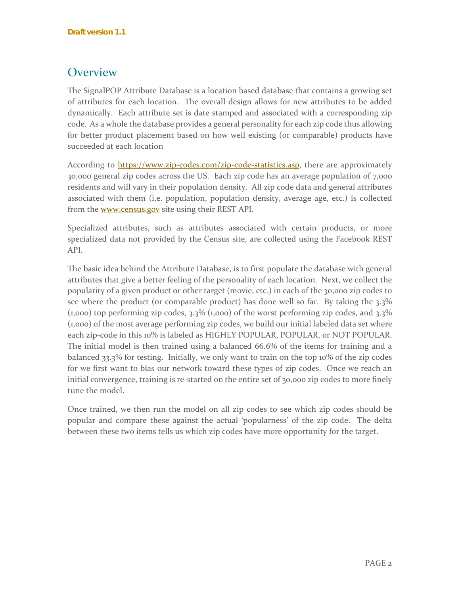### <span id="page-2-0"></span>**Overview**

The SignalPOP Attribute Database is a location based database that contains a growing set of attributes for each location. The overall design allows for new attributes to be added dynamically. Each attribute set is date stamped and associated with a corresponding zip code. As a whole the database provides a general personality for each zip code thus allowing for better product placement based on how well existing (or comparable) products have succeeded at each location

According to **https://www.zip-codes.com/zip-code-statistics.asp**, there are approximately 30,000 general zip codes across the US. Each zip code has an average population of 7,000 residents and will vary in their population density. All zip code data and general attributes associated with them (i.e. population, population density, average age, etc.) is collected from the **www.census.gov** site using their REST API.

Specialized attributes, such as attributes associated with certain products, or more specialized data not provided by the Census site, are collected using the Facebook REST API.

The basic idea behind the Attribute Database, is to first populate the database with general attributes that give a better feeling of the personality of each location. Next, we collect the popularity of a given product or other target (movie, etc.) in each of the 30,000 zip codes to see where the product (or comparable product) has done well so far. By taking the 3.3%  $(1,000)$  top performing zip codes, 3.3%  $(1,000)$  of the worst performing zip codes, and 3.3% (1,000) of the most average performing zip codes, we build our initial labeled data set where each zip-code in this 10% is labeled as HIGHLY POPULAR, POPULAR, or NOT POPULAR. The initial model is then trained using a balanced 66.6% of the items for training and a balanced 33.3% for testing. Initially, we only want to train on the top 10% of the zip codes for we first want to bias our network toward these types of zip codes. Once we reach an initial convergence, training is re-started on the entire set of 30,000 zip codes to more finely tune the model.

Once trained, we then run the model on all zip codes to see which zip codes should be popular and compare these against the actual 'popularness' of the zip code. The delta between these two items tells us which zip codes have more opportunity for the target.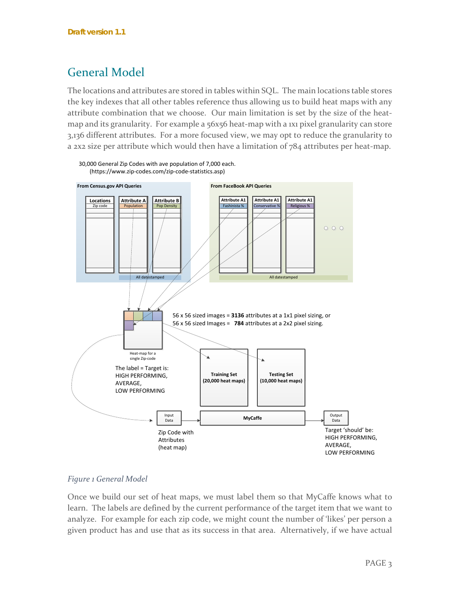### <span id="page-3-0"></span>General Model

The locations and attributes are stored in tables within SQL. The main locations table stores the key indexes that all other tables reference thus allowing us to build heat maps with any attribute combination that we choose. Our main limitation is set by the size of the heatmap and its granularity. For example a 56x56 heat-map with a 1x1 pixel granularity can store 3,136 different attributes. For a more focused view, we may opt to reduce the granularity to a 2x2 size per attribute which would then have a limitation of 784 attributes per heat-map.



#### 30,000 General Zip Codes with ave population of 7,000 each. (https://www.zip-codes.com/zip-code-statistics.asp)

#### *Figure 1 General Model*

Once we build our set of heat maps, we must label them so that MyCaffe knows what to learn. The labels are defined by the current performance of the target item that we want to analyze. For example for each zip code, we might count the number of 'likes' per person a given product has and use that as its success in that area. Alternatively, if we have actual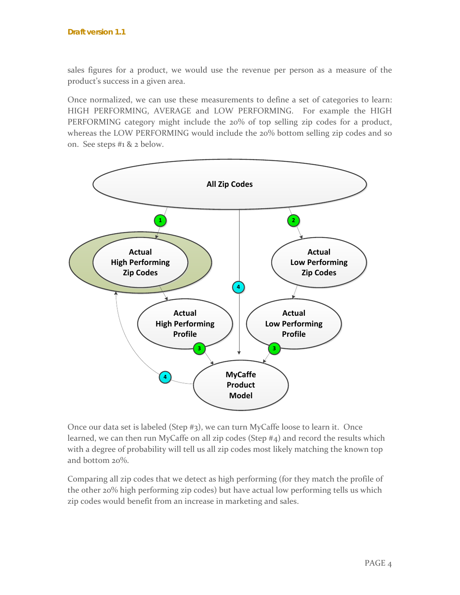sales figures for a product, we would use the revenue per person as a measure of the product's success in a given area.

Once normalized, we can use these measurements to define a set of categories to learn: HIGH PERFORMING, AVERAGE and LOW PERFORMING. For example the HIGH PERFORMING category might include the 20% of top selling zip codes for a product, whereas the LOW PERFORMING would include the 20% bottom selling zip codes and so on. See steps #1 & 2 below.



Once our data set is labeled (Step #3), we can turn MyCaffe loose to learn it. Once learned, we can then run MyCaffe on all zip codes (Step #4) and record the results which with a degree of probability will tell us all zip codes most likely matching the known top and bottom 20%.

Comparing all zip codes that we detect as high performing (for they match the profile of the other 20% high performing zip codes) but have actual low performing tells us which zip codes would benefit from an increase in marketing and sales.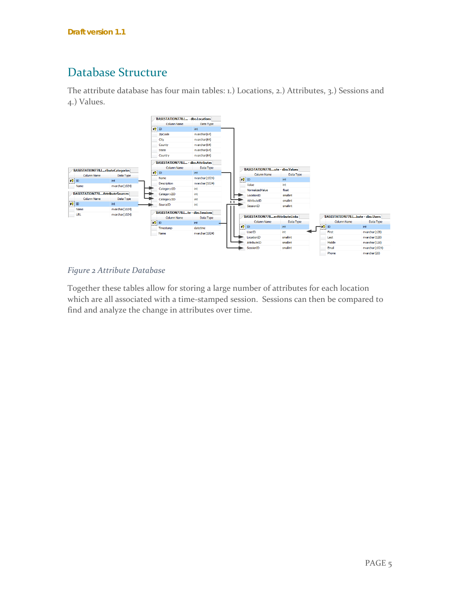## <span id="page-5-0"></span>Database Structure

The attribute database has four main tables: 1.) Locations, 2.) Attributes, 3.) Sessions and 4.) Values.



#### *Figure 2 Attribute Database*

Together these tables allow for storing a large number of attributes for each location which are all associated with a time-stamped session. Sessions can then be compared to find and analyze the change in attributes over time.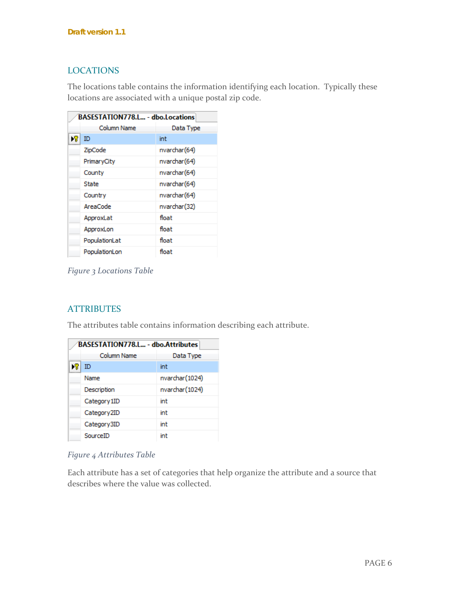### <span id="page-6-0"></span>LOCATIONS

The locations table contains the information identifying each location. Typically these locations are associated with a unique postal zip code.

| BASESTATION778.L - dbo.Locations |               |              |
|----------------------------------|---------------|--------------|
|                                  | Column Name   | Data Type    |
| l≯?                              | ID            | int          |
|                                  | ZipCode       | nvarchar(64) |
|                                  | PrimaryCity   | nvarchar(64) |
|                                  | County        | nvarchar(64) |
|                                  | State         | nvarchar(64) |
|                                  | Country       | nvarchar(64) |
|                                  | AreaCode      | nvarchar(32) |
|                                  | ApproxLat     | float        |
|                                  | ApproxLon     | float        |
|                                  | PopulationLat | float        |
|                                  | PopulationLon | float        |

*Figure 3 Locations Table*

#### <span id="page-6-1"></span>**ATTRIBUTES**

The attributes table contains information describing each attribute.

| BASESTATION778.L - dbo.Attributes |                         |                 |
|-----------------------------------|-------------------------|-----------------|
|                                   | Column Name             | Data Type       |
|                                   | ID                      | int             |
|                                   | Name                    | nvarchar (1024) |
|                                   | Description             | nvarchar (1024) |
|                                   | Category 1ID            | int             |
|                                   | Category <sub>2ID</sub> | int             |
|                                   | Category3ID             | int             |
|                                   | SourceID                | int             |

#### *Figure 4 Attributes Table*

Each attribute has a set of categories that help organize the attribute and a source that describes where the value was collected.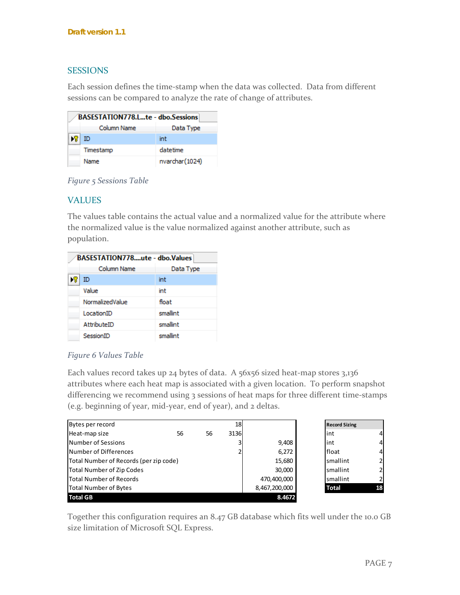#### <span id="page-7-0"></span>**SESSIONS**

Each session defines the time-stamp when the data was collected. Data from different sessions can be compared to analyze the rate of change of attributes.

| BASESTATION778.Lte - dbo.Sessions |             |                 |
|-----------------------------------|-------------|-----------------|
|                                   | Column Name | Data Type       |
| $\sqrt{8}$ ID                     |             | int             |
|                                   | Timestamp   | datetime        |
|                                   | Name        | nvarchar (1024) |

*Figure 5 Sessions Table*

### <span id="page-7-1"></span>VALUES

The values table contains the actual value and a normalized value for the attribute where the normalized value is the value normalized against another attribute, such as population.

| BASESTATION778ute - dbo.Values |                 |           |
|--------------------------------|-----------------|-----------|
|                                | Column Name     | Data Type |
|                                | ID              | int       |
|                                | Value           | int       |
|                                | NormalizedValue | float     |
|                                | LocationID      | smallint  |
|                                | AttributeID     | smallint  |
|                                | SessionID       | smallint  |

#### *Figure 6 Values Table*

Each values record takes up 24 bytes of data. A 56x56 sized heat-map stores 3,136 attributes where each heat map is associated with a given location. To perform snapshot differencing we recommend using 3 sessions of heat maps for three different time-stamps (e.g. beginning of year, mid-year, end of year), and 2 deltas.

| Bytes per record                       |    | 18 |             | <b>Record Sizing</b> |              |   |
|----------------------------------------|----|----|-------------|----------------------|--------------|---|
| Heat-map size                          | 56 | 56 | 3136        |                      | int          |   |
| Number of Sessions                     |    |    | 3           | 9,408                | int          | 4 |
| Number of Differences                  |    | ำ  | 6,272       | float                | 4            |   |
| Total Number of Records (per zip code) |    |    | 15,680      | smallint             | $\mathbf{z}$ |   |
| Total Number of Zip Codes              |    |    | 30,000      | smallint             |              |   |
| Total Number of Records                |    |    | 470,400,000 | smallint             |              |   |
| <b>Total Number of Bytes</b>           |    |    |             | 8,467,200,000        | <b>Total</b> |   |
| <b>Total GB</b>                        |    |    |             | 8.4672               |              |   |

Together this configuration requires an 8.47 GB database which fits well under the 10.0 GB size limitation of Microsoft SQL Express.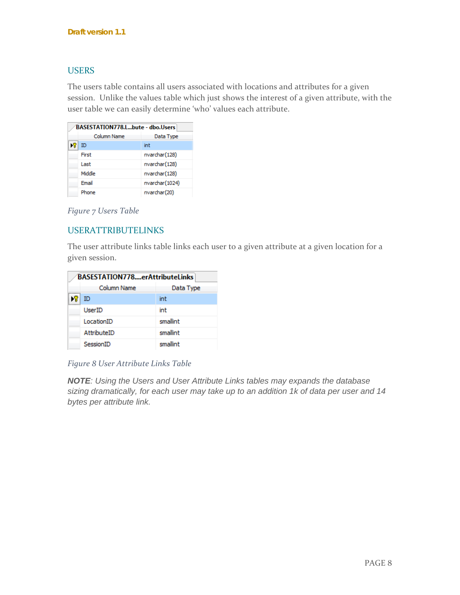#### <span id="page-8-0"></span>**USERS**

The users table contains all users associated with locations and attributes for a given session. Unlike the values table which just shows the interest of a given attribute, with the user table we can easily determine 'who' values each attribute.

| BASESTATION778.Lbute - dbo.Users |             |                 |
|----------------------------------|-------------|-----------------|
|                                  | Column Name | Data Type       |
|                                  | ID          | int             |
|                                  | First       | nvarchar(128)   |
|                                  | Last        | nvarchar(128)   |
|                                  | Middle      | nvarchar(128)   |
|                                  | Email       | nvarchar (1024) |
|                                  | Phone       | nvarchar(20)    |

*Figure 7 Users Table*

#### <span id="page-8-1"></span>USERATTRIBUTELINKS

The user attribute links table links each user to a given attribute at a given location for a given session.

| <b>BASESTATION778erAttributeLinks</b> |               |           |
|---------------------------------------|---------------|-----------|
|                                       | Column Name   | Data Type |
|                                       | ID            | int       |
|                                       | <b>UserID</b> | int       |
|                                       | LocationID    | smallint  |
|                                       | AttributeID   | smallint  |
|                                       | SessionID     | smallint  |

#### *Figure 8 User Attribute Links Table*

*NOTE: Using the Users and User Attribute Links tables may expands the database sizing dramatically, for each user may take up to an addition 1k of data per user and 14 bytes per attribute link.*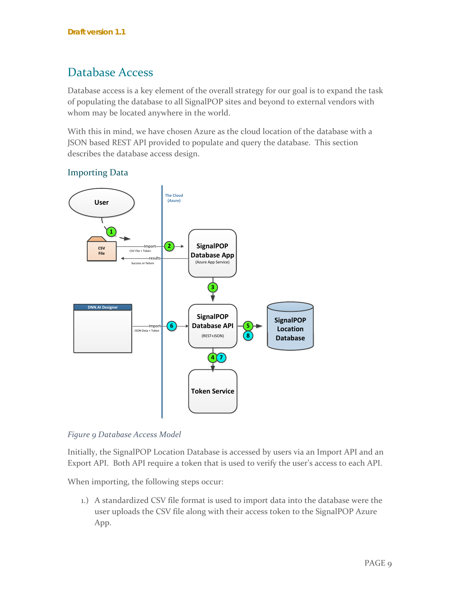### <span id="page-9-0"></span>Database Access

Database access is a key element of the overall strategy for our goal is to expand the task of populating the database to all SignalPOP sites and beyond to external vendors with whom may be located anywhere in the world.

With this in mind, we have chosen Azure as the cloud location of the database with a JSON based REST API provided to populate and query the database. This section describes the database access design.



### <span id="page-9-1"></span>Importing Data

#### *Figure 9 Database Access Model*

Initially, the SignalPOP Location Database is accessed by users via an Import API and an Export API. Both API require a token that is used to verify the user's access to each API.

When importing, the following steps occur:

1.) A standardized CSV file format is used to import data into the database were the user uploads the CSV file along with their access token to the SignalPOP Azure App.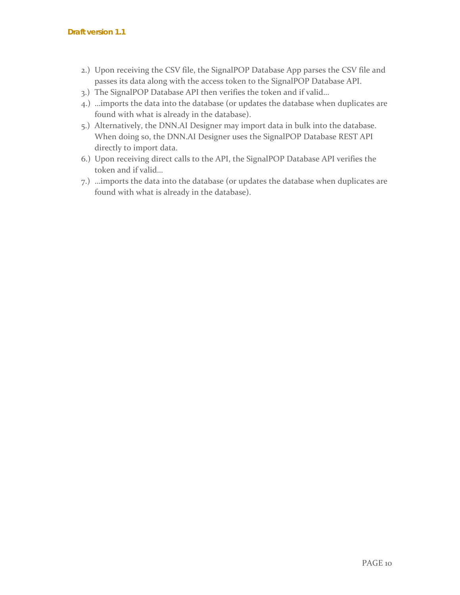- 2.) Upon receiving the CSV file, the SignalPOP Database App parses the CSV file and passes its data along with the access token to the SignalPOP Database API.
- 3.) The SignalPOP Database API then verifies the token and if valid…
- 4.) …imports the data into the database (or updates the database when duplicates are found with what is already in the database).
- 5.) Alternatively, the DNN.AI Designer may import data in bulk into the database. When doing so, the DNN.AI Designer uses the SignalPOP Database REST API directly to import data.
- 6.) Upon receiving direct calls to the API, the SignalPOP Database API verifies the token and if valid…
- 7.) …imports the data into the database (or updates the database when duplicates are found with what is already in the database).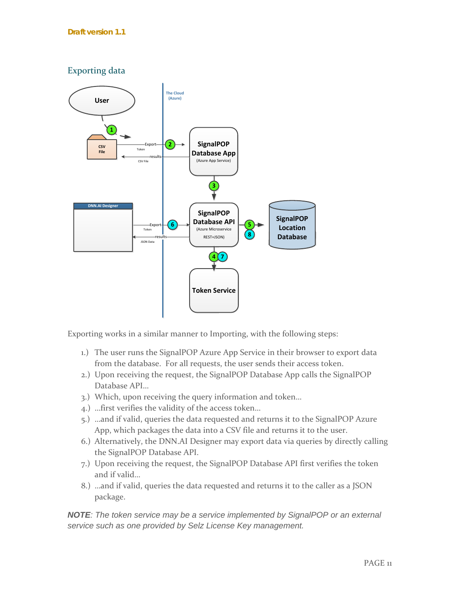<span id="page-11-0"></span>

Exporting works in a similar manner to Importing, with the following steps:

- 1.) The user runs the SignalPOP Azure App Service in their browser to export data from the database. For all requests, the user sends their access token.
- 2.) Upon receiving the request, the SignalPOP Database App calls the SignalPOP Database API…
- 3.) Which, upon receiving the query information and token…
- 4.) …first verifies the validity of the access token…
- 5.) …and if valid, queries the data requested and returns it to the SignalPOP Azure App, which packages the data into a CSV file and returns it to the user.
- 6.) Alternatively, the DNN.AI Designer may export data via queries by directly calling the SignalPOP Database API.
- 7.) Upon receiving the request, the SignalPOP Database API first verifies the token and if valid…
- 8.) …and if valid, queries the data requested and returns it to the caller as a JSON package.

*NOTE: The token service may be a service implemented by SignalPOP or an external service such as one provided by Selz License Key management.*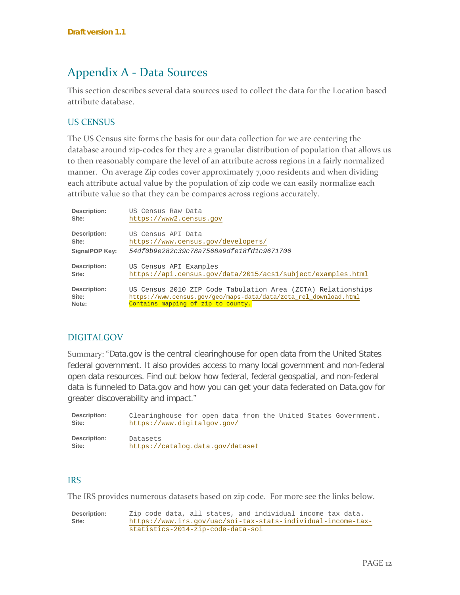### <span id="page-12-0"></span>Appendix A - Data Sources

This section describes several data sources used to collect the data for the Location based attribute database.

#### <span id="page-12-1"></span>US CENSUS

The US Census site forms the basis for our data collection for we are centering the database around zip-codes for they are a granular distribution of population that allows us to then reasonably compare the level of an attribute across regions in a fairly normalized manner. On average Zip codes cover approximately 7,000 residents and when dividing each attribute actual value by the population of zip code we can easily normalize each attribute value so that they can be compares across regions accurately.

| Description:   | US Census Raw Data                                               |
|----------------|------------------------------------------------------------------|
| Site:          | https://www2.census.gov                                          |
| Description:   | US Census API Data                                               |
| Site:          | https://www.census.gov/developers/                               |
| SignalPOP Key: | 54df0b9e282c39c78a7568a9dfe18fd1c9671706                         |
| Description:   | US Census API Examples                                           |
| Site:          | https://api.census.qov/data/2015/acs1/subject/examples.html      |
| Description:   | US Census 2010 ZIP Code Tabulation Area (ZCTA) Relationships     |
| Site:          | https://www.census.gov/geo/maps-data/data/zcta_rel_download.html |
| Note:          | Contains mapping of zip to county.                               |

#### <span id="page-12-2"></span>DIGITALGOV

Summary: "Data.gov is the central clearinghouse for open data from the United States federal government. It also provides access to many local government and non-federal open data resources. Find out below how federal, federal geospatial, and non-federal data is funneled to Data.gov and how you can get your data federated on Data.gov for greater discoverability and impact."

| Description: | Clearinghouse for open data from the United States Government. |
|--------------|----------------------------------------------------------------|
| Site:        | https://www.digitalgov.gov/                                    |
| Description: | Datasets                                                       |
| Site:        | https://catalog.data.gov/dataset                               |

#### <span id="page-12-3"></span>IRS

The IRS provides numerous datasets based on zip code. For more see the links below.

**Description:** Zip code data, all states, and individual income tax data.<br>**Site:** https://www.irs.gov/uac/soi-tax-stats-individual-income-tax **Site:** [https://www.irs.gov/uac/soi-tax-stats-individual-income-tax](https://www.irs.gov/uac/soi-tax-stats-individual-income-tax-statistics-2014-zip-code-data-soi)[statistics-2014-zip-code-data-soi](https://www.irs.gov/uac/soi-tax-stats-individual-income-tax-statistics-2014-zip-code-data-soi)